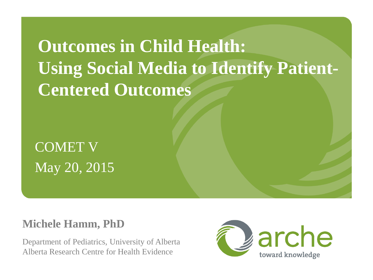**Outcomes in Child Health: Using Social Media to Identify Patient-Centered Outcomes**

COMET V May 20, 2015

#### **Michele Hamm, PhD**

Department of Pediatrics, University of Alberta Alberta Research Centre for Health Evidence

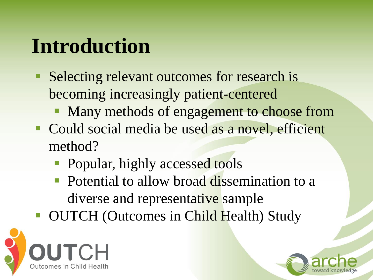# **Introduction**

- Selecting relevant outcomes for research is becoming increasingly patient-centered
	- Many methods of engagement to choose from
- **Could social media be used as a novel, efficient** method?
	- Popular, highly accessed tools
	- Potential to allow broad dissemination to a diverse and representative sample
- **OUTCH (Outcomes in Child Health) Study**



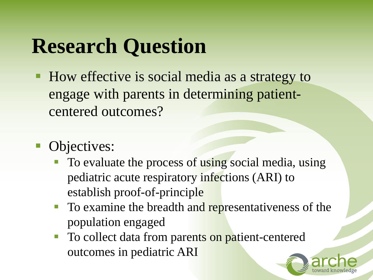# **Research Question**

- How effective is social media as a strategy to engage with parents in determining patientcentered outcomes?
- Objectives:
	- To evaluate the process of using social media, using pediatric acute respiratory infections (ARI) to establish proof-of-principle
	- To examine the breadth and representativeness of the population engaged
	- To collect data from parents on patient-centered outcomes in pediatric ARI

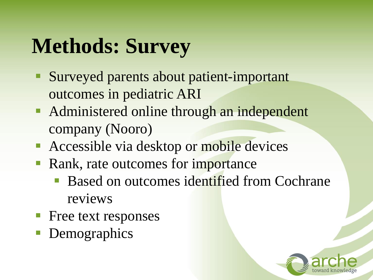# **Methods: Survey**

- Surveyed parents about patient-important outcomes in pediatric ARI
- Administered online through an independent company (Nooro)
- **Accessible via desktop or mobile devices**
- Rank, rate outcomes for importance
	- Based on outcomes identified from Cochrane reviews
- **Free text responses**
- Demographics

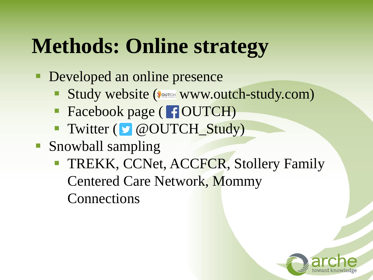# **Methods: Online strategy**

- **Developed an online presence** 
	- Study website (SOUTCH WWW.Outch-study.com)
	- Facebook page ( **FOUTCH**)
	- Twitter ( @OUTCH\_Study)
- Snowball sampling
	- **TREKK, CCNet, ACCFCR, Stollery Family** Centered Care Network, Mommy Connections

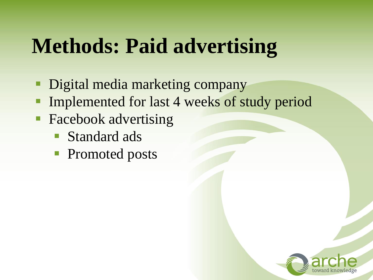# **Methods: Paid advertising**

- **Digital media marketing company**
- Implemented for last 4 weeks of study period
- **Facebook advertising** 
	- **Standard ads**
	- Promoted posts

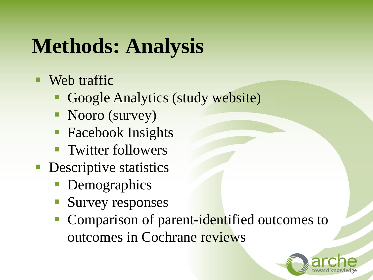# **Methods: Analysis**

- Web traffic
	- Google Analytics (study website)
	- Nooro (survey)
	- **Facebook Insights**
	- **Twitter followers**
- **Descriptive statistics** 
	- Demographics
	- **Survey responses**
	- **Comparison of parent-identified outcomes to** outcomes in Cochrane reviews

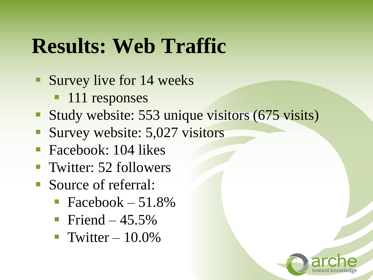## **Results: Web Traffic**

- **Survey live for 14 weeks** 
	- **111** responses
- Study website: 553 unique visitors (675 visits)
- Survey website: 5,027 visitors
- **Facebook: 104 likes**
- **Twitter: 52 followers**
- Source of referral:
	- $\blacksquare$  Facebook 51.8%
	- Friend  $-45.5\%$
	- Twitter  $-10.0\%$

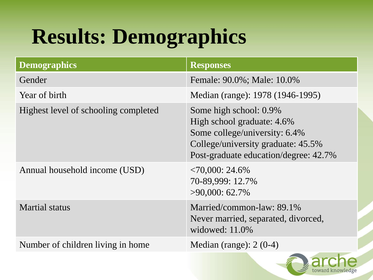# **Results: Demographics**

| <b>Responses</b>                                                                                                                                                     |
|----------------------------------------------------------------------------------------------------------------------------------------------------------------------|
| Female: 90.0%; Male: 10.0%                                                                                                                                           |
| Median (range): 1978 (1946-1995)                                                                                                                                     |
| Some high school: 0.9%<br>High school graduate: 4.6%<br>Some college/university: 6.4%<br>College/university graduate: 45.5%<br>Post-graduate education/degree: 42.7% |
| $\langle 70,000: 24.6\%$<br>70-89,999: 12.7%<br>$>90,000$ : 62.7%                                                                                                    |
| Married/common-law: 89.1%<br>Never married, separated, divorced,<br>widowed: $11.0\%$                                                                                |
| Median (range): $2(0-4)$                                                                                                                                             |
|                                                                                                                                                                      |

t**oward** kn

edge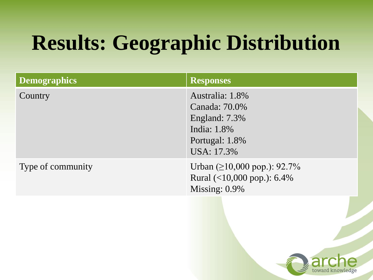# **Results: Geographic Distribution**

| <b>Demographics</b> | <b>Responses</b>                                                                                 |
|---------------------|--------------------------------------------------------------------------------------------------|
| Country             | Australia: 1.8%<br>Canada: 70.0%<br>England: 7.3%<br>India: 1.8%<br>Portugal: 1.8%<br>USA: 17.3% |
| Type of community   | Urban $(\geq 10,000 \text{ pop.})$ : 92.7%<br>Rural $(<10,000$ pop.): 6.4%<br>Missing: 0.9%      |

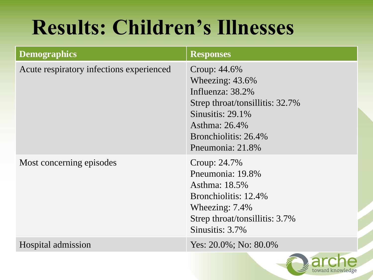# **Results: Children's Illnesses**

| <b>Demographics</b>                      | <b>Responses</b>                                                                                                                                                              |
|------------------------------------------|-------------------------------------------------------------------------------------------------------------------------------------------------------------------------------|
| Acute respiratory infections experienced | Croup: 44.6%<br>Wheezing: $43.6\%$<br>Influenza: 38.2%<br>Strep throat/tonsillitis: 32.7%<br>Sinusitis: $29.1\%$<br>Asthma: 26.4%<br>Bronchiolitis: 26.4%<br>Pneumonia: 21.8% |
| Most concerning episodes                 | Croup: 24.7%<br>Pneumonia: 19.8%<br>Asthma: 18.5%<br>Bronchiolitis: 12.4%<br>Wheezing: 7.4%<br>Strep throat/tonsillitis: 3.7%<br>Sinusitis: 3.7%                              |
| Hospital admission                       | Yes: $20.0\%$ ; No: $80.0\%$                                                                                                                                                  |

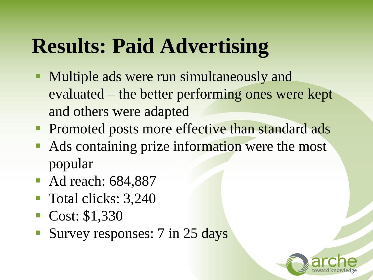# **Results: Paid Advertising**

- **Multiple ads were run simultaneously and** evaluated – the better performing ones were kept and others were adapted
- **Promoted posts more effective than standard ads**
- Ads containing prize information were the most popular
- Ad reach: 684,887
- **Total clicks: 3,240**
- Cost: \$1,330
- Survey responses: 7 in 25 days

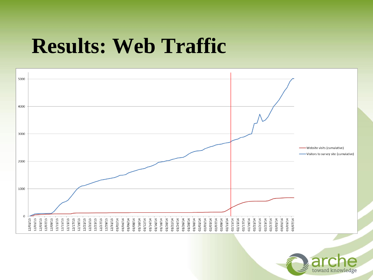## **Results: Web Traffic**



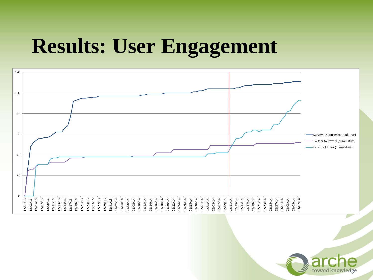## **Results: User Engagement**



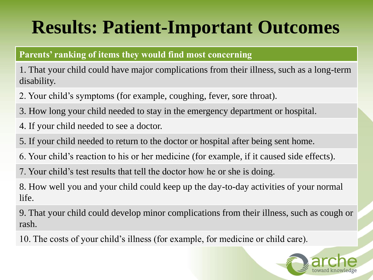#### **Parents' ranking of items they would find most concerning**

1. That your child could have major complications from their illness, such as a long-term disability.

- 2. Your child's symptoms (for example, coughing, fever, sore throat).
- 3. How long your child needed to stay in the emergency department or hospital.
- 4. If your child needed to see a doctor.
- 5. If your child needed to return to the doctor or hospital after being sent home.
- 6. Your child's reaction to his or her medicine (for example, if it caused side effects).
- 7. Your child's test results that tell the doctor how he or she is doing.

8. How well you and your child could keep up the day-to-day activities of your normal life.

9. That your child could develop minor complications from their illness, such as cough or rash.

10. The costs of your child's illness (for example, for medicine or child care).

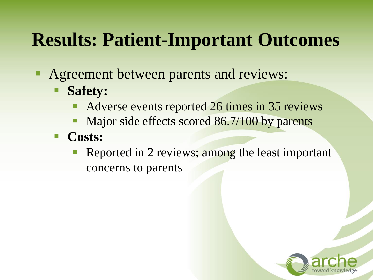- Agreement between parents and reviews:
	- **Safety:**
		- Adverse events reported 26 times in 35 reviews
		- Major side effects scored 86.7/100 by parents
	- **Costs:**
		- Reported in 2 reviews; among the least important concerns to parents

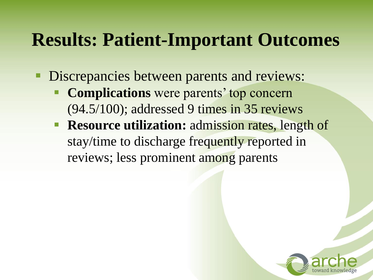- **Discrepancies between parents and reviews:** 
	- **Complications** were parents' top concern (94.5/100); addressed 9 times in 35 reviews
	- **Resource utilization:** admission rates, length of stay/time to discharge frequently reported in reviews; less prominent among parents

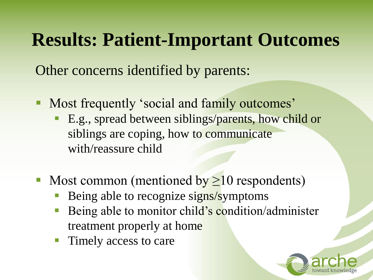Other concerns identified by parents:

- Most frequently 'social and family outcomes'
	- **E.g., spread between siblings/parents, how child or** siblings are coping, how to communicate with/reassure child
- Most common (mentioned by  $\geq 10$  respondents)
	- Being able to recognize signs/symptoms
	- Being able to monitor child's condition/administer treatment properly at home
	- Timely access to care

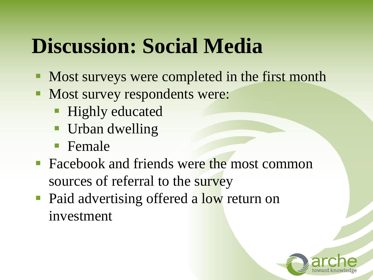# **Discussion: Social Media**

- Most surveys were completed in the first month
- **Most survey respondents were:** 
	- **Highly educated**
	- **Urban dwelling**
	- **F**emale
- Facebook and friends were the most common sources of referral to the survey
- Paid advertising offered a low return on investment

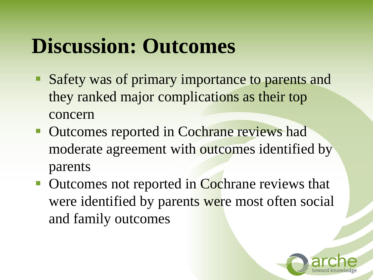# **Discussion: Outcomes**

- Safety was of primary importance to parents and they ranked major complications as their top concern
- **Outcomes reported in Cochrane reviews had** moderate agreement with outcomes identified by parents
- Outcomes not reported in Cochrane reviews that were identified by parents were most often social and family outcomes

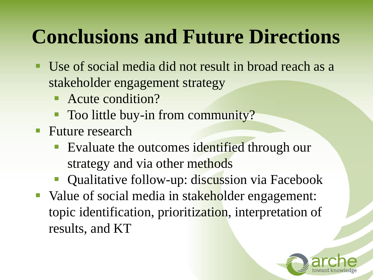## **Conclusions and Future Directions**

- Use of social media did not result in broad reach as a stakeholder engagement strategy
	- Acute condition?
	- Too little buy-in from community?
- **Future research** 
	- **Evaluate the outcomes identified through our** strategy and via other methods
	- **Qualitative follow-up: discussion via Facebook**
- Value of social media in stakeholder engagement: topic identification, prioritization, interpretation of results, and KT